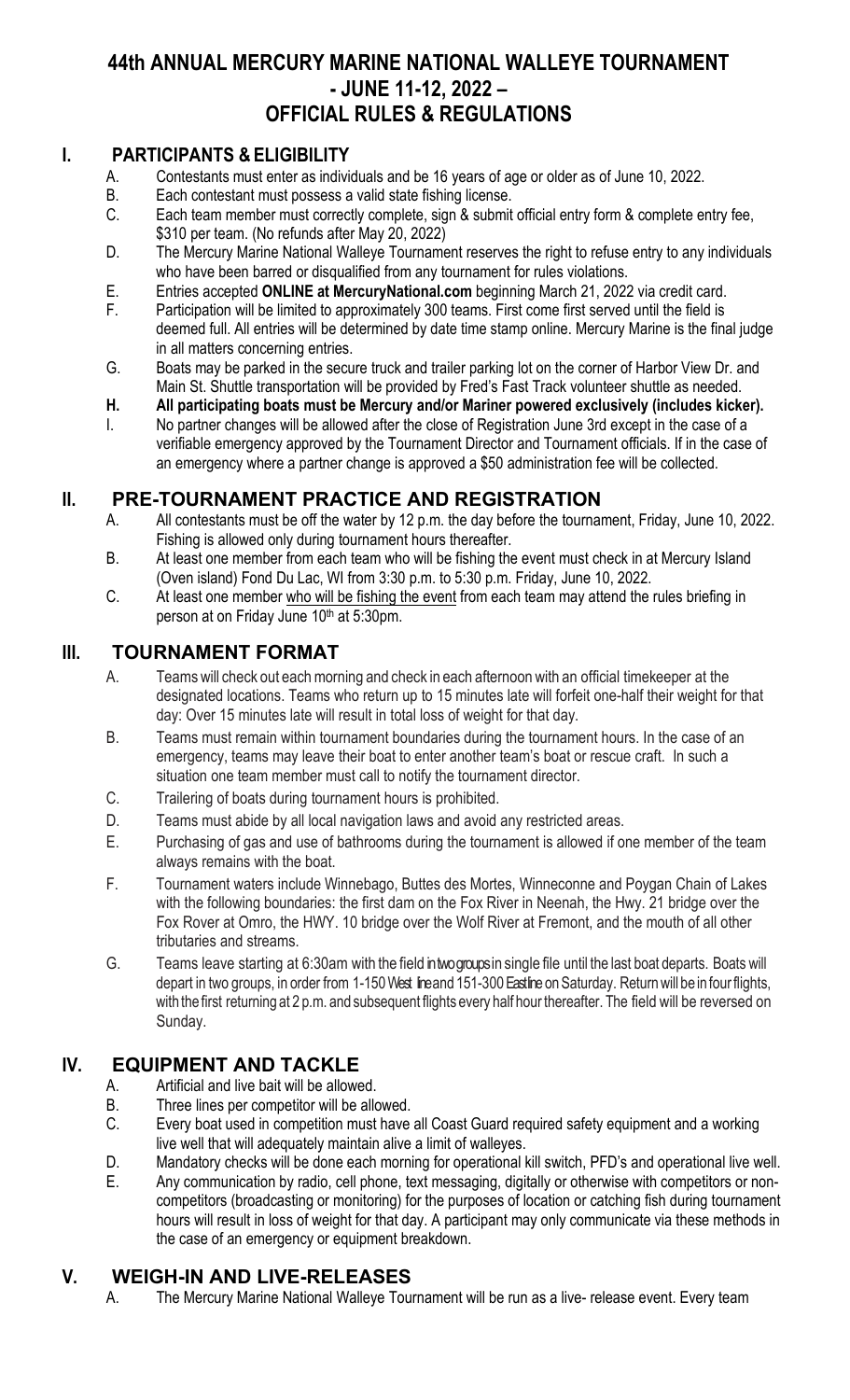## **44th ANNUAL MERCURY MARINE NATIONAL WALLEYE TOURNAMENT - JUNE 11-12, 2022 – OFFICIAL RULES & REGULATIONS**

#### **I. PARTICIPANTS & ELIGIBILITY**

- A. Contestants must enter as individuals and be 16 years of age or older as of June 10, 2022.<br>B. Each contestant must possess a valid state fishing license.
- Each contestant must possess a valid state fishing license.
- C. Each team member must correctly complete, sign & submit official entry form & complete entry fee, \$310 per team. (No refunds after May 20, 2022)
- D. The Mercury Marine National Walleye Tournament reserves the right to refuse entry to any individuals who have been barred or disqualified from any tournament for rules violations.
- E. Entries accepted **ONLINE at MercuryNational.com** beginning March 21, 2022 via credit card.
- F. Participation will be limited to approximately 300 teams. First come first served until the field is deemed full. All entries will be determined by date time stamp online. Mercury Marine is the final judge in all matters concerning entries.
- G. Boats may be parked in the secure truck and trailer parking lot on the corner of Harbor View Dr. and Main St. Shuttle transportation will be provided by Fred's Fast Track volunteer shuttle as needed.
- **H. All participating boats must be Mercury and/or Mariner powered exclusively (includes kicker).**
- I. No partner changes will be allowed after the close of Registration June 3rd except in the case of a verifiable emergency approved by the Tournament Director and Tournament officials. If in the case of an emergency where a partner change is approved a \$50 administration fee will be collected.

# **II. PRE-TOURNAMENT PRACTICE AND REGISTRATION**<br>A. All contestants must be off the water by 12 p.m. the day before the tournar

- All contestants must be off the water by 12 p.m. the day before the tournament, Friday, June 10, 2022. Fishing is allowed only during tournament hours thereafter.
- B. At least one member from each team who will be fishing the event must check in at Mercury Island (Oven island) Fond Du Lac, WI from 3:30 p.m. to 5:30 p.m. Friday, June 10, 2022.
- C. At least one member who will be fishing the event from each team may attend the rules briefing in person at on Friday June 10th at 5:30pm.

#### **III. TOURNAMENT FORMAT**

- A. Teams will check out each morning and check in each afternoon with an official timekeeper at the designated locations. Teams who return up to 15 minutes late will forfeit one-half their weight for that day: Over 15 minutes late will result in total loss of weight for that day.
- B. Teams must remain within tournament boundaries during the tournament hours. In the case of an emergency, teams may leave their boat to enter another team's boat or rescue craft. In such a situation one team member must call to notify the tournament director.
- C. Trailering of boats during tournament hours is prohibited.
- D. Teams must abide by all local navigation laws and avoid any restricted areas.
- E. Purchasing of gas and use of bathrooms during the tournament is allowed if one member of the team always remains with the boat.
- F. Tournament waters include Winnebago, Buttes des Mortes, Winneconne and Poygan Chain of Lakes with the following boundaries: the first dam on the Fox River in Neenah, the Hwy. 21 bridge over the Fox Rover at Omro, the HWY. 10 bridge over the Wolf River at Fremont, and the mouth of all other tributaries and streams.
- G. Teams leave starting at 6:30am with the field in two groups in single file until the last boat departs. Boats will depart in two groups, in order from 1-150 West line and 151-300 East line on Saturday. Return will be in four flights, with the first returning at 2 p.m. and subsequent flights every half hour thereafter. The field will be reversed on Sunday.

### **IV. EQUIPMENT AND TACKLE**

- A. Artificial and live bait will be allowed.
- B. Three lines per competitor will be allowed.
- C. Every boat used in competition must have all Coast Guard required safety equipment and a working live well that will adequately maintain alive a limit of walleyes.
- D. Mandatory checks will be done each morning for operational kill switch, PFD's and operational live well.
- E. Any communication by radio, cell phone, text messaging, digitally or otherwise with competitors or noncompetitors (broadcasting or monitoring) for the purposes of location or catching fish during tournament hours will result in loss of weight for that day. A participant may only communicate via these methods in the case of an emergency or equipment breakdown.

#### **V. WEIGH-IN AND LIVE-RELEASES**

A. The Mercury Marine National Walleye Tournament will be run as a live- release event. Every team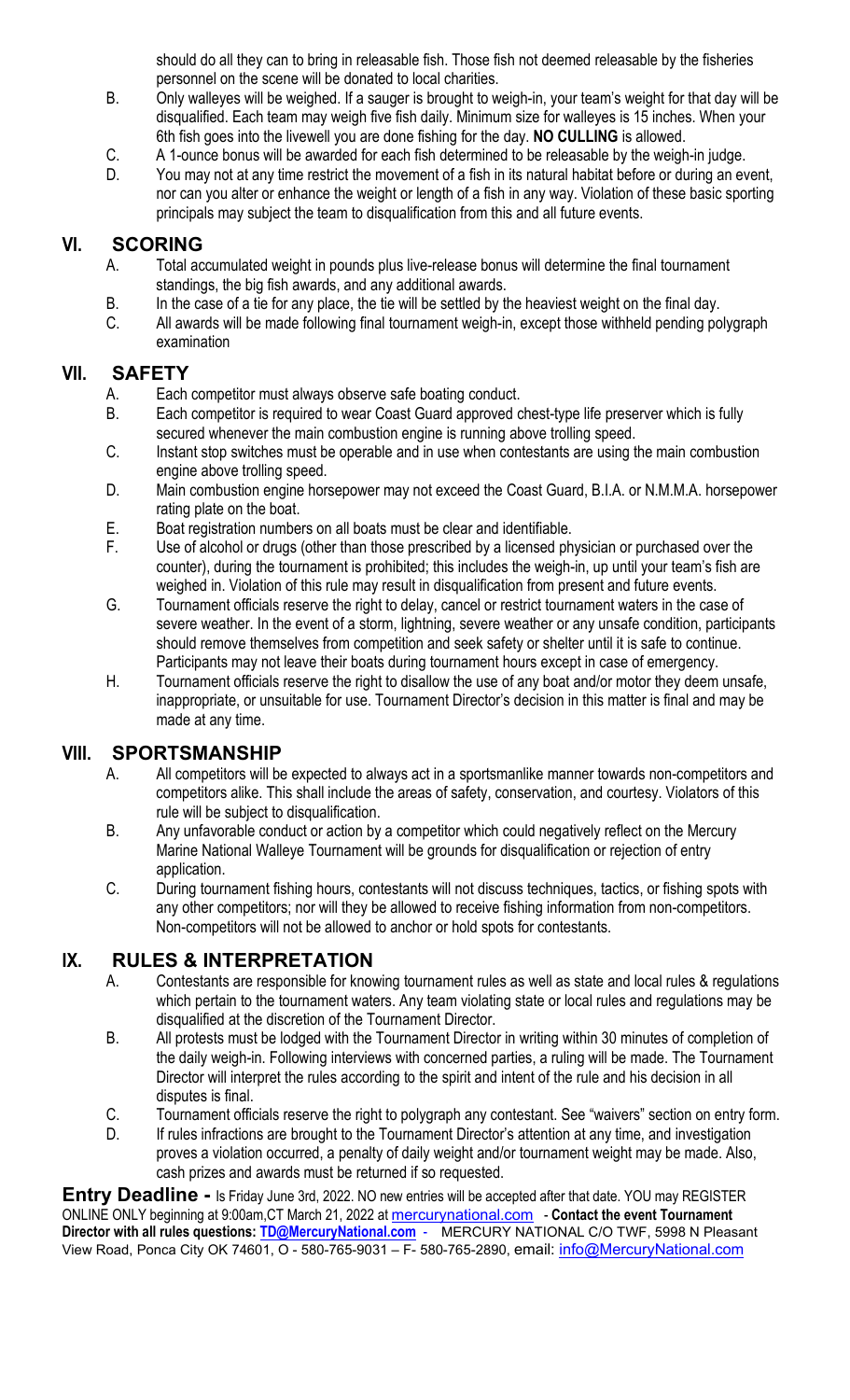should do all they can to bring in releasable fish. Those fish not deemed releasable by the fisheries personnel on the scene will be donated to local charities.

- B. Only walleyes will be weighed. If a sauger is brought to weigh-in, your team's weight for that day will be disqualified. Each team may weigh five fish daily. Minimum size for walleyes is 15 inches. When your 6th fish goes into the livewell you are done fishing for the day. **NO CULLING** is allowed.
- C. A 1-ounce bonus will be awarded for each fish determined to be releasable by the weigh-in judge.
- D. You may not at any time restrict the movement of a fish in its natural habitat before or during an event, nor can you alter or enhance the weight or length of a fish in any way. Violation of these basic sporting principals may subject the team to disqualification from this and all future events.

### **VI. SCORING**

- A. Total accumulated weight in pounds plus live-release bonus will determine the final tournament standings, the big fish awards, and any additional awards.
- B. In the case of a tie for any place, the tie will be settled by the heaviest weight on the final day.
- C. All awards will be made following final tournament weigh-in, except those withheld pending polygraph examination

#### **VII. SAFETY**

- A. Each competitor must always observe safe boating conduct.
- B. Each competitor is required to wear Coast Guard approved chest-type life preserver which is fully secured whenever the main combustion engine is running above trolling speed.
- C. Instant stop switches must be operable and in use when contestants are using the main combustion engine above trolling speed.
- D. Main combustion engine horsepower may not exceed the Coast Guard, B.I.A. or N.M.M.A. horsepower rating plate on the boat.
- E. Boat registration numbers on all boats must be clear and identifiable.
- F. Use of alcohol or drugs (other than those prescribed by a licensed physician or purchased over the counter), during the tournament is prohibited; this includes the weigh-in, up until your team's fish are weighed in. Violation of this rule may result in disqualification from present and future events.
- G. Tournament officials reserve the right to delay, cancel or restrict tournament waters in the case of severe weather. In the event of a storm, lightning, severe weather or any unsafe condition, participants should remove themselves from competition and seek safety or shelter until it is safe to continue. Participants may not leave their boats during tournament hours except in case of emergency.
- H. Tournament officials reserve the right to disallow the use of any boat and/or motor they deem unsafe, inappropriate, or unsuitable for use. Tournament Director's decision in this matter is final and may be made at any time.

## **VIII. SPORTSMANSHIP**<br>A. All competitors will be

- All competitors will be expected to always act in a sportsmanlike manner towards non-competitors and competitors alike. This shall include the areas of safety, conservation, and courtesy. Violators of this rule will be subject to disqualification.
- B. Any unfavorable conduct or action by a competitor which could negatively reflect on the Mercury Marine National Walleye Tournament will be grounds for disqualification or rejection of entry application.
- C. During tournament fishing hours, contestants will not discuss techniques, tactics, or fishing spots with any other competitors; nor will they be allowed to receive fishing information from non-competitors. Non-competitors will not be allowed to anchor or hold spots for contestants.

#### **IX. RULES & INTERPRETATION**

- A. Contestants are responsible for knowing tournament rules as well as state and local rules & regulations which pertain to the tournament waters. Any team violating state or local rules and regulations may be disqualified at the discretion of the Tournament Director.
- B. All protests must be lodged with the Tournament Director in writing within 30 minutes of completion of the daily weigh-in. Following interviews with concerned parties, a ruling will be made. The Tournament Director will interpret the rules according to the spirit and intent of the rule and his decision in all disputes is final.
- C. Tournament officials reserve the right to polygraph any contestant. See "waivers" section on entry form.
- D. If rules infractions are brought to the Tournament Director's attention at any time, and investigation proves a violation occurred, a penalty of daily weight and/or tournament weight may be made. Also, cash prizes and awards must be returned if so requested.

**Entry Deadline -** Is Friday June 3rd, 2022. NO new entries will be accepted after that date. YOU may REGISTER ONLINE ONLY beginning at 9:00am,CT March 21, 2022 at [mercurynational.com](mailto:mercurynational.com) - **Contact the event Tournament Director with all rules questions: [TD@MercuryNational.com](mailto:TD@MercuryNational.com)** - MERCURY NATIONAL C/O TWF, 5998 N Pleasant View Road, Ponca City OK 74601, O - 580-765-9031 – F- 580-765-2890, email: *info@MercuryNational.com*